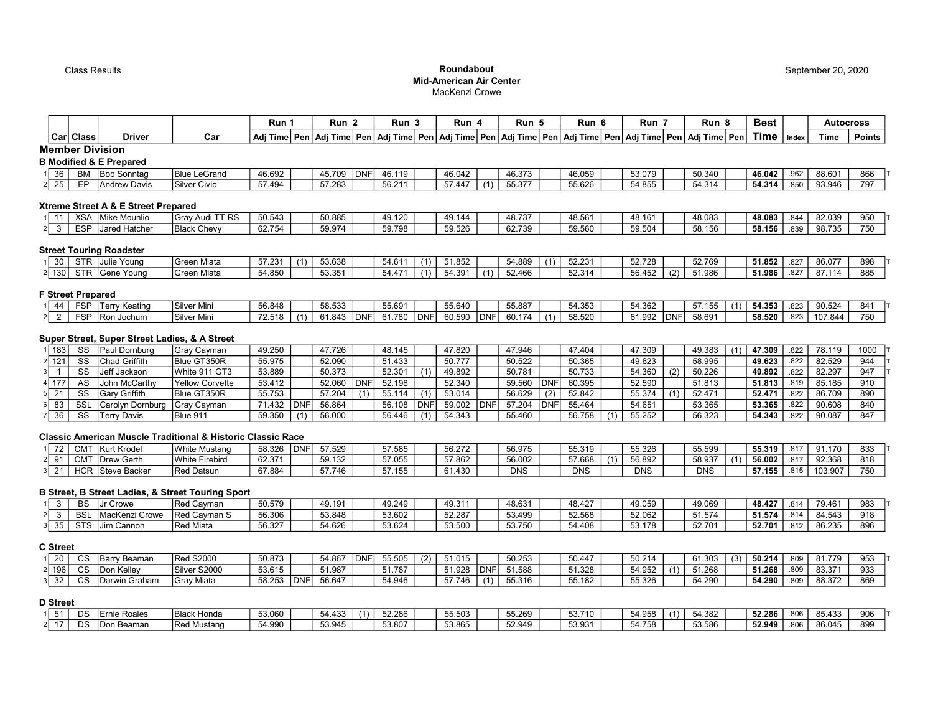## Class Results **Roundabout Roundabout Roundabout Roundabout Roundabout** Mid-American Air Center MacKenzi Crowe

|                               |             |                                               |                                                                        | Run 1  |             | Run <sub>2</sub> |             | Run <sub>3</sub>                                 |            | Run 4  |     | Run 5      |     | Run 6                                                              |     | Run 7      |             | Run <sub>8</sub> |     | <b>Best</b> |         | <b>Autocross</b> |               |
|-------------------------------|-------------|-----------------------------------------------|------------------------------------------------------------------------|--------|-------------|------------------|-------------|--------------------------------------------------|------------|--------|-----|------------|-----|--------------------------------------------------------------------|-----|------------|-------------|------------------|-----|-------------|---------|------------------|---------------|
|                               | Car   Class | <b>Driver</b>                                 | Car                                                                    |        |             |                  |             | Adi Time   Pen   Adi Time   Pen   Adi Time   Pen |            |        |     |            |     | │Adj Time│Pen│Adj Time│Pen│Adj Time│Pen│Adj Time│Pen│Adj Time│Pen│ |     |            |             |                  |     | Time        | I Index | Time             | <b>Points</b> |
|                               |             | <b>Member Division</b>                        |                                                                        |        |             |                  |             |                                                  |            |        |     |            |     |                                                                    |     |            |             |                  |     |             |         |                  |               |
|                               |             | <b>B Modified &amp; E Prepared</b>            |                                                                        |        |             |                  |             |                                                  |            |        |     |            |     |                                                                    |     |            |             |                  |     |             |         |                  |               |
| 36                            | <b>BM</b>   | <b>Bob Sonntag</b>                            | <b>Blue LeGrand</b>                                                    | 46.692 |             | 45.709           | DNF         | 46.119                                           |            | 46.042 |     | 46.373     |     | 46.059                                                             |     | 53.079     |             | 50.340           |     | 46.042      | .962    | 88.601           | 866           |
| 25                            | EP          | <b>Andrew Davis</b>                           | <b>Silver Civic</b>                                                    | 57.494 |             | 57.283           |             | 56.211                                           |            | 57.447 | (1) | 55.377     |     | 55.626                                                             |     | 54.855     |             | 54.314           |     | 54.314      | .850    | 93.946           | 797           |
|                               |             |                                               |                                                                        |        |             |                  |             |                                                  |            |        |     |            |     |                                                                    |     |            |             |                  |     |             |         |                  |               |
|                               |             | Xtreme Street A & E Street Prepared           |                                                                        |        |             |                  |             |                                                  |            |        |     |            |     |                                                                    |     |            |             |                  |     |             |         |                  |               |
| 1 11                          |             | XSA Mike Mounlio                              | Gray Audi TT RS                                                        | 50.543 |             | 50.885           |             | 49.120                                           |            | 49.144 |     | 48.737     |     | 48.561                                                             |     | 48.161     |             | 48.083           |     | 48.083      | .844    | 82.039           | 950           |
| $\overline{\mathbf{3}}$<br>21 | <b>ESP</b>  | Jared Hatcher                                 | <b>Black Chevy</b>                                                     | 62.754 |             | 59.974           |             | 59.798                                           |            | 59.526 |     | 62.739     |     | 59.560                                                             |     | 59.504     |             | 58.156           |     | 58.156      | .839    | 98.735           | 750           |
|                               |             |                                               |                                                                        |        |             |                  |             |                                                  |            |        |     |            |     |                                                                    |     |            |             |                  |     |             |         |                  |               |
|                               |             | <b>Street Touring Roadster</b>                |                                                                        |        |             |                  |             |                                                  |            |        |     |            |     |                                                                    |     |            |             |                  |     |             |         |                  |               |
| $1 \overline{30}$             |             | STR Julie Young                               | <b>Green Miata</b>                                                     | 57.231 | (1)         | 53.638           |             | 54.611                                           | (1)        | 51.852 |     | 54.889     | (1) | 52.231                                                             |     | 52.728     |             | 52.769           |     | 51.852      | .827    | 86.077           | 898           |
| 2 130                         |             | STR Gene Young                                | <b>Green Miata</b>                                                     | 54.850 |             | 53.351           |             | 54.471                                           | (1)        | 54.391 | (1) | 52.466     |     | 52.314                                                             |     | 56.452     | (2)         | 51.986           |     | 51.986      | .827    | 87.114           | 885           |
|                               |             |                                               |                                                                        |        |             |                  |             |                                                  |            |        |     |            |     |                                                                    |     |            |             |                  |     |             |         |                  |               |
| <b>F Street Prepared</b>      |             |                                               |                                                                        |        |             |                  |             |                                                  |            |        |     |            |     |                                                                    |     |            |             |                  |     |             |         |                  |               |
| 44                            |             | FSP   Terry Keating                           | Silver Mini                                                            | 56.848 |             | 58.533           |             | 55.691                                           |            | 55.640 |     | 55.887     |     | 54.353                                                             |     | 54.362     |             | 57.155           | (1) | 54.353      | .823    | 90.524           | 841           |
| $\overline{2}$<br>21          | <b>FSP</b>  | Ron Jochum                                    | Silver Mini                                                            | 72.518 |             | 61.843           | <b>IDNF</b> | 61.780                                           | <b>DNF</b> | 60.590 | DNF | 60.174     | (1) | 58.520                                                             |     | 61.992     | <b>IDNF</b> | 58.691           |     | 58.520      | .823    | 107.844          | 750           |
|                               |             |                                               |                                                                        |        |             |                  |             |                                                  |            |        |     |            |     |                                                                    |     |            |             |                  |     |             |         |                  |               |
|                               |             | Super Street, Super Street Ladies, & A Street |                                                                        |        |             |                  |             |                                                  |            |        |     |            |     |                                                                    |     |            |             |                  |     |             |         |                  |               |
| $1$   183                     | SS          | Paul Dornburg                                 | <b>Gray Cayman</b>                                                     | 49.250 |             | 47.726           |             | 48.145                                           |            | 47.820 |     | 47.946     |     | 47.404                                                             |     | 47.309     |             | 49.383           | (1) | 47.309      | .822    | 78.119           | 1000          |
| 2 121                         | SS          | <b>Chad Griffith</b>                          | Blue GT350R                                                            | 55.975 |             | 52.090           |             | 51.433                                           |            | 50.777 |     | 50.522     |     | 50.365                                                             |     | 49.623     |             | 58.995           |     | 49.623      | .822    | 82.529           | 944           |
|                               | SS          | Jeff Jackson                                  | White 911 GT3                                                          | 53.889 |             | 50.373           |             | 52.301                                           | (1)        | 49.892 |     | 50.781     |     | 50.733                                                             |     | 54.360     | (2)         | 50.226           |     | 49.892      | .822    | 82.297           | 947           |
| 4 177                         | AS          | John McCarthy                                 | <b>Yellow Corvette</b>                                                 | 53.412 |             | 52.060           | DNF         | 52.198                                           |            | 52.340 |     | 59.560     | DNF | 60.395                                                             |     | 52.590     |             | 51.813           |     | 51.813      | .819    | 85.185           | 910           |
| 21                            | SS          | <b>Gary Griffith</b>                          | <b>Blue GT350R</b>                                                     | 55.753 |             | 57.204           | (1)         | 55.114                                           | (1)        | 53.014 |     | 56.629     | (2) | 52.842                                                             |     | 55.374     | (1)         | 52.471           |     | 52.471      | .822    | 86.709           | 890           |
| 83                            | SSL         | Carolyn Dornburg                              | <b>Gray Cayman</b>                                                     | 71.432 | <b>DNF</b>  | 56.864           |             | 56.108                                           | DNF        | 59.002 | DNF | 57.204     | DNF | 55.464                                                             |     | 54.651     |             | 53.365           |     | 53.365      | .822    | 90.608           | 840           |
| 36                            | SS          | <b>Terry Davis</b>                            | Blue 911                                                               | 59.350 |             | 56.000           |             | 56.446                                           | (1)        | 54.343 |     | 55.460     |     | 56.758                                                             | (1) | 55.252     |             | 56.323           |     | 54.343      | .822    | 90.087           | 847           |
|                               |             |                                               |                                                                        |        |             |                  |             |                                                  |            |        |     |            |     |                                                                    |     |            |             |                  |     |             |         |                  |               |
|                               |             |                                               | <b>Classic American Muscle Traditional &amp; Historic Classic Race</b> |        |             |                  |             |                                                  |            |        |     |            |     |                                                                    |     |            |             |                  |     |             |         |                  |               |
| 72                            |             | <b>CMT</b> Kurt Krodel                        | <b>White Mustang</b>                                                   | 58.326 | <b>IDNF</b> | 57.529           |             | 57.585                                           |            | 56.272 |     | 56.975     |     | 55.319                                                             |     | 55.326     |             | 55.599           |     | 55.319      | .817    | 91.170           | 833           |
| $2$   91                      | <b>CMT</b>  | Drew Gerth                                    | <b>White Firebird</b>                                                  | 62.371 |             | 59.132           |             | 57.055                                           |            | 57.862 |     | 56.002     |     | 57.668                                                             | (1) | 56.892     |             | 58.937           | (1) | 56.002      | .817    | 92.368           | 818           |
| 21                            |             | <b>HCR Steve Backer</b>                       | <b>Red Datsun</b>                                                      | 67.884 |             | 57.746           |             | 57.155                                           |            | 61.430 |     | <b>DNS</b> |     | <b>DNS</b>                                                         |     | <b>DNS</b> |             | <b>DNS</b>       |     | 57.155      | .815    | 103.907          | 750           |

# B Street, B Street Ladies, & Street Touring Sport

|     | BS                   | Crowe                                 | ⊸∼ ⊏<br>l Cavman<br>rcu | ናስ 570<br><u>JU.JIJ</u> | 49.191 | 49.249 | 49.31  | 48.63                                                         | 48.427          | 49.059            | 49.069 | 48.427 | 79.461<br>.814               | 983 |
|-----|----------------------|---------------------------------------|-------------------------|-------------------------|--------|--------|--------|---------------------------------------------------------------|-----------------|-------------------|--------|--------|------------------------------|-----|
|     | <b>BSI</b>           | <b>IMa</b><br><b>icKenzi</b><br>Crowe | ıRed<br>Cavman S        | 56.306                  | 53.848 | 53.602 | 52.287 | 53.499                                                        | 52568<br>JZ.JUU | 52.062            | .514   | 51.574 | $0.4$ $\Gamma$ $4.2$<br>.814 | 918 |
| ືບປ | $\sim$ $\sim$<br>313 | ⊦Cannon<br>י יווווט،                  | Miata<br>ncu.           | 56.327                  | 54.626 | 53.624 | 53.500 | $F^{\alpha}$ $\overline{F}^{\alpha}$<br>$\sqrt{2}$<br>JJ.I JU | 4.408<br>. .    | $-3178$<br>ັບປ. ເ | 52701  | 52.701 | 86.235<br>.812               | 896 |

#### C Street

| ZU  | $\sim$<br>ິ | IBarry Beaman    | Red S2000         | 50.873 |             | 54.867 | <b>IDNF</b> | 55.505               | L | 51.015 |            | 50.253 | 50.447 | 50.214 |              | 61 303<br>01.303            | (3) | 50.214 | .809 | 81 770           | Q53<br>ごしい |
|-----|-------------|------------------|-------------------|--------|-------------|--------|-------------|----------------------|---|--------|------------|--------|--------|--------|--------------|-----------------------------|-----|--------|------|------------------|------------|
| 196 | $\sim$<br>w | า Kellev<br>DON  | Silver S2000      | 53.615 |             | 51.987 |             | $-1 - - -$<br>51.781 |   | 1.928  | <b>DNF</b> | 51.588 | 51.328 | 54.952 | $\mathbf{A}$ | $F \land \theta$<br>-01.268 |     | 51.268 | .809 | 00.071<br>33.37  | 933        |
| 32  | $\sim$      | Graham<br>Darwir | <b>Gray Miata</b> | 58.253 | <b>IDNF</b> | 56.647 |             | 54.946               |   | 57.746 | (1)        | 55.316 | 55.182 | 55.326 |              | 51 200                      |     | 54.290 | .809 | 00.270<br>88.372 | 869        |

### D Street

| . | $\sim$<br>◡ | $-$<br><b>IErnie Roales</b> | <b>Black Honda</b> | 53.060               | 54.433 | (1) | 52.286 | 55.503 | 55.269                   | 53.710                      | 54.958              | ാറ<br>.          | 52.286           | .806 | <b>OF 199</b><br>95.43J | 906 |
|---|-------------|-----------------------------|--------------------|----------------------|--------|-----|--------|--------|--------------------------|-----------------------------|---------------------|------------------|------------------|------|-------------------------|-----|
|   | $\sim$<br>◡ | <b>IDon</b><br>Beamar       | <b>Red Mustano</b> | $-4.990$ ,<br>ノ→.ວວ∪ | 53.945 |     | 53.807 | 53.865 | 52.949<br><u> JZ.JTJ</u> | <sub>ີ</sub> 2 ດ21<br>ບບ.ອບ | $\overline{1}$<br>. | 53.586<br>ັບບ.ບປ | 52.949<br>JZ.J4J | .806 | 36.045                  | 899 |